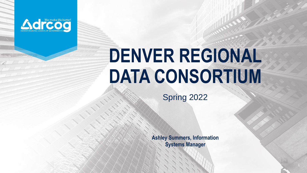

# **DENVER REGIONAL DATA CONSORTIUM**

Spring 2022

**Ashley Summers, Information Systems Manager**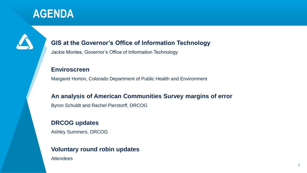#### **AGENDA**

#### **GIS at the Governor's Office of Information Technology**

Jackie Montes, Governor's Office of Information Technology

#### **Enviroscreen**

Margaret Horton, Colorado Department of Public Health and Environment

#### **An analysis of American Communities Survey margins of error**

Byron Schuldt and Rachel Pierstorff, DRCOG

#### **DRCOG updates**

Ashley Summers, DRCOG

#### **Voluntary round robin updates**

Attendees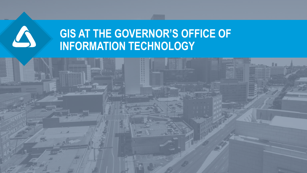

### **GIS AT THE GOVERNOR'S OFFICE OF INFORMATION TECHNOLOGY**

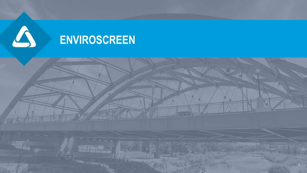

### **ENVIROSCREEN**

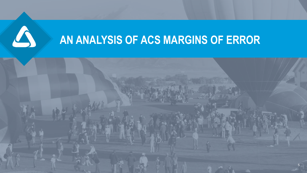

### **AN ANALYSIS OF ACS MARGINS OF ERROR**

5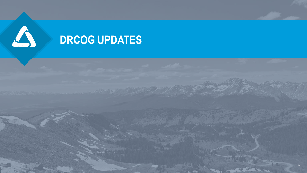

### **DRCOG UPDATES**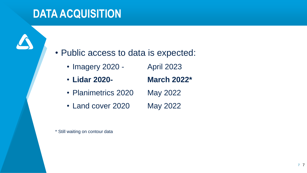#### **DATA ACQUISITION**

• Public access to data is expected:

- Imagery 2020 April 2023
- **Lidar 2020- March 2022\***
- Planimetrics 2020 May 2022
- Land cover 2020 May 2022

\* Still waiting on contour data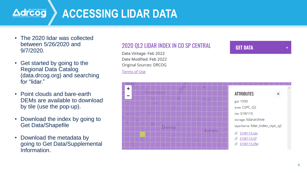

### **ACCESSING LIDAR DATA**

- The 2020 lidar was collected between 5/26/2020 and 9/7/2020.
- Get started by going to the Regional Data Catalog (data.drcog.org) and searching for "lidar."
- Point clouds and bare-earth DEMs are available to download by tile (use the pop-up).
- Download the index by going to Get Data/Shapefile
- Download the metadata by going to Get Data/Supplemental Information.

#### 2020 QL2 LIDAR INDEX IN CO SP CENTRAL

Data Vintage: Feb 2022 Date Modified: Feb 2022 **Original Sources: DRCOG** 

**Terms of Use** 

#### **GET DATA**

 $\blacktriangledown$ 

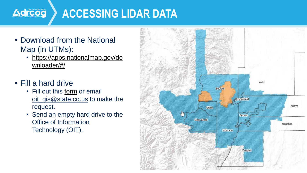

### **ACCESSING LIDAR DATA**

- Download from the National Map (in UTMs):
	- [https://apps.nationalmap.gov/do](https://apps.nationalmap.gov/downloader/#/) wnloader/#/
- Fill a hard drive
	- Fill out this [form](https://hes32-ctp.trendmicro.com/wis/clicktime/v1/query?url=https%3a%2f%2fcan01.safelinks.protection.outlook.com%2f%3furl%3dhttps%253A%252F%252Fdocs.google.com%252Fforms%252Fd%252Fe%252F1FAIpQLSfaGeJ5ehlCHnQckNPhgeBlz%2dkTLzVnH5dFGI71qWZhTiRKWQ%252Fviewform%253Ffbzx%253D1272905056847450400%26data%3d04%257C01%257CMVessely%2540bgcengineering.ca%257Cf7159aeb9ab24fc84c9308d9fd795eef%257C13b20fb177514ce4ab355178f6ec731b%257C0%257C1%257C637819520019655584%257CUnknown%257CTWFpbGZsb3d8eyJWIjoiMC4wLjAwMDAiLCJQIjoiV2luMzIiLCJBTiI6Ik1haWwiLCJXVCI6Mn0%253D%257C2000%26sdata%3dJC5sh5WN%252BaQ8SBLezZXsRbLwSzk42fJaWNvXKWxj1r0%253D%26reserved%3d0&umid=c90bc9d5-7d48-4ac3-819c-87cc24a89344&auth=4a58862e89b075465a8326aa92e7bce3c9b29348-73d04e0ba6a5ce84576e4ceb09f1c3671cf9001f) or email [oit\\_gis@state.co.us](mailto:oit_gis@state.co.us) to make the request.
	- Send an empty hard drive to the Office of Information Technology (OIT).

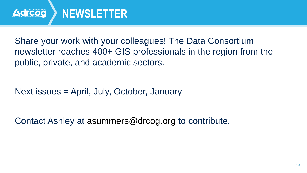

Share your work with your colleagues! The Data Consortium newsletter reaches 400+ GIS professionals in the region from the public, private, and academic sectors.

Next issues = April, July, October, January

Contact Ashley at [asummers@drcog.org](mailto:asummers@drcog.org) to contribute.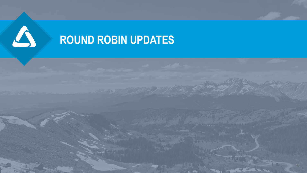

## **ROUND ROBIN UPDATES**